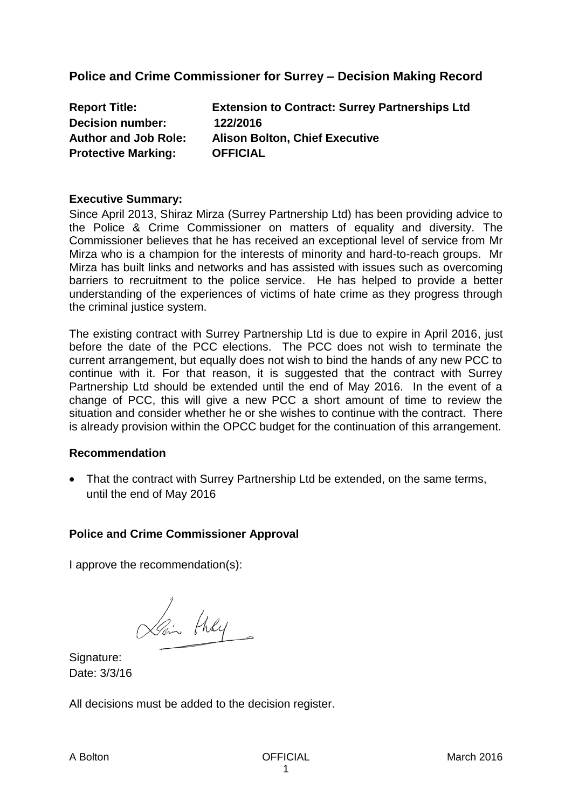**Police and Crime Commissioner for Surrey – Decision Making Record**

| <b>Report Title:</b>        | <b>Extension to Contract: Surrey Partnerships Ltd</b> |
|-----------------------------|-------------------------------------------------------|
| <b>Decision number:</b>     | 122/2016                                              |
| <b>Author and Job Role:</b> | <b>Alison Bolton, Chief Executive</b>                 |
| <b>Protective Marking:</b>  | <b>OFFICIAL</b>                                       |

## **Executive Summary:**

Since April 2013, Shiraz Mirza (Surrey Partnership Ltd) has been providing advice to the Police & Crime Commissioner on matters of equality and diversity. The Commissioner believes that he has received an exceptional level of service from Mr Mirza who is a champion for the interests of minority and hard-to-reach groups. Mr Mirza has built links and networks and has assisted with issues such as overcoming barriers to recruitment to the police service. He has helped to provide a better understanding of the experiences of victims of hate crime as they progress through the criminal justice system.

The existing contract with Surrey Partnership Ltd is due to expire in April 2016, just before the date of the PCC elections. The PCC does not wish to terminate the current arrangement, but equally does not wish to bind the hands of any new PCC to continue with it. For that reason, it is suggested that the contract with Surrey Partnership Ltd should be extended until the end of May 2016. In the event of a change of PCC, this will give a new PCC a short amount of time to review the situation and consider whether he or she wishes to continue with the contract. There is already provision within the OPCC budget for the continuation of this arrangement.

## **Recommendation**

• That the contract with Surrey Partnership Ltd be extended, on the same terms, until the end of May 2016

## **Police and Crime Commissioner Approval**

I approve the recommendation(s):

Pain they

Signature: Date: 3/3/16

All decisions must be added to the decision register.